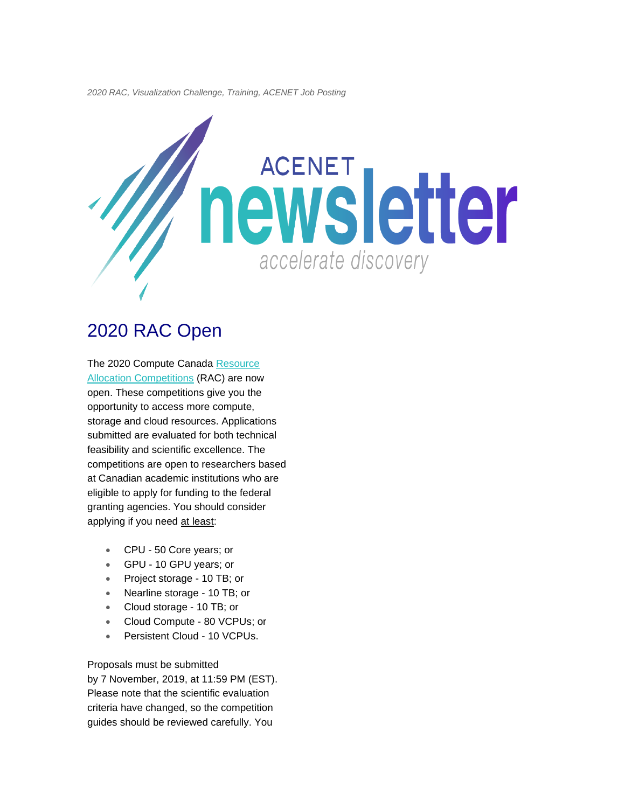*2020 RAC, Visualization Challenge, Training, ACENET Job Posting*



# 2020 RAC Open

The 2020 Compute Canada Resource **[Allocation Competitions](https://www.computecanada.ca/research-portal/accessing-resources/resource-allocation-competitions/) (RAC) are now** open. These competitions give you the opportunity to access more compute, storage and cloud resources. Applications submitted are evaluated for both technical feasibility and scientific excellence. The competitions are open to researchers based at Canadian academic institutions who are eligible to apply for funding to the federal granting agencies. You should consider applying if you need at least:

- CPU 50 Core years; or
- GPU 10 GPU years; or
- Project storage 10 TB; or
- Nearline storage 10 TB; or
- Cloud storage 10 TB; or
- Cloud Compute 80 VCPUs; or
- Persistent Cloud 10 VCPUs.

Proposals must be submitted

by 7 November, 2019, at 11:59 PM (EST). Please note that the scientific evaluation criteria have changed, so the competition guides should be reviewed carefully. You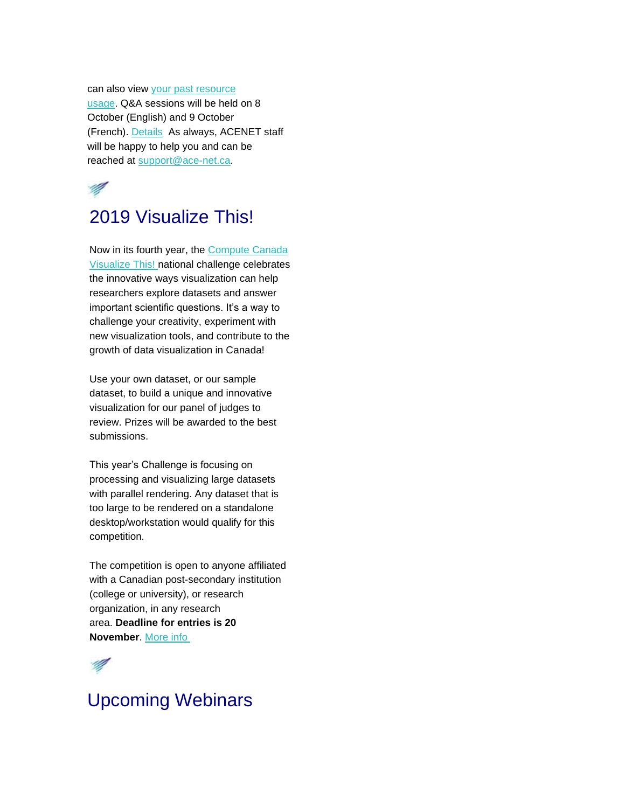can also view [your past resource](https://ccdb.computecanada.ca/me/group_usage)  [usage.](https://ccdb.computecanada.ca/me/group_usage) Q&A sessions will be held on 8 October (English) and 9 October (French). [Details](https://www.computecanada.ca/research-portal/accessing-resources/resource-allocation-competitions/) As always, ACENET staff will be happy to help you and can be reached at [support@ace-net.ca.](mailto:support@ace-net.ca)



## 2019 Visualize This!

Now in its fourth year, the [Compute Canada](https://computecanada.github.io/visualizeThis/)  [Visualize This!](https://computecanada.github.io/visualizeThis/) national challenge celebrates the innovative ways visualization can help researchers explore datasets and answer important scientific questions. It's a way to challenge your creativity, experiment with new visualization tools, and contribute to the growth of data visualization in Canada!

Use your own dataset, or our sample dataset, to build a unique and innovative visualization for our panel of judges to review. Prizes will be awarded to the best submissions.

This year's Challenge is focusing on processing and visualizing large datasets with parallel rendering. Any dataset that is too large to be rendered on a standalone desktop/workstation would qualify for this competition.

The competition is open to anyone affiliated with a Canadian post-secondary institution (college or university), or research organization, in any research area. **Deadline for entries is 20 November**. [More info](https://computecanada.github.io/visualizeThis/)



# Upcoming Webinars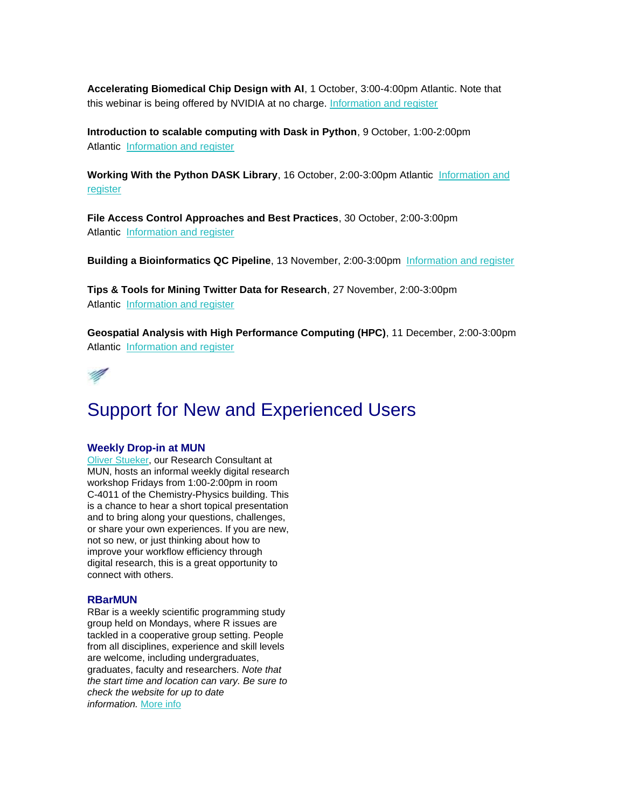**Accelerating Biomedical Chip Design with AI**, 1 October, 3:00-4:00pm Atlantic. Note that this webinar is being offered by NVIDIA at no charge. [Information and register](https://event.on24.com/eventRegistration/EventLobbyServlet?target=reg20.jsp&referrer=https://home.nvidia.com/jira/servicedesk/customer/portal/20/DGEM-228&eventid=2069143&sessionid=1&key=F66D8DED4AF88BD0A21EEE8BEFFC3380®Tag=626373&sourcepage=register&linkId=100000007511794)

**Introduction to scalable computing with Dask in Python**, 9 October, 1:00-2:00pm Atlantic [Information and register](https://www.sharcnet.ca/my/news/calendar)

**Working With the Python DASK Library**, 16 October, 2:00-3:00pm Atlantic [Information and](https://www.eventbrite.ca/e/working-with-the-python-dask-library-registration-71341232547)  [register](https://www.eventbrite.ca/e/working-with-the-python-dask-library-registration-71341232547)

**File Access Control Approaches and Best Practices**, 30 October, 2:00-3:00pm Atlantic [Information and register](https://www.eventbrite.ca/e/file-access-control-approaches-and-best-practices-registration-71341707969)

**Building a Bioinformatics QC Pipeline**, 13 November, 2:00-3:00pm [Information and register](https://www.eventbrite.ca/e/building-a-bioinformatics-qc-pipeline-registration-71341934647)

**Tips & Tools for Mining Twitter Data for Research**, 27 November, 2:00-3:00pm Atlantic [Information and register](https://www.eventbrite.ca/e/tips-tools-for-mining-twitter-data-for-research-registration-60901624398)

**Geospatial Analysis with High Performance Computing (HPC)**, 11 December, 2:00-3:00pm Atlantic [Information and register](https://www.eventbrite.ca/e/geospatial-analysis-with-high-performance-computing-hpc-registration-71342291715)



# Support for New and Experienced Users

#### **Weekly Drop-in at MUN**

[Oliver Stueker,](mailto:oliver.stueker@ace-net.ca) our Research Consultant at MUN, hosts an informal weekly digital research workshop Fridays from 1:00-2:00pm in room C-4011 of the Chemistry-Physics building. This is a chance to hear a short topical presentation and to bring along your questions, challenges, or share your own experiences. If you are new, not so new, or just thinking about how to improve your workflow efficiency through digital research, this is a great opportunity to connect with others.

#### **RBarMUN**

RBar is a weekly scientific programming study group held on Mondays, where R issues are tackled in a cooperative group setting. People from all disciplines, experience and skill levels are welcome, including undergraduates, graduates, faculty and researchers. *Note that the start time and location can vary. Be sure to check the website for up to date information.* [More info](https://daniellequinn.github.io/RBarMUN/)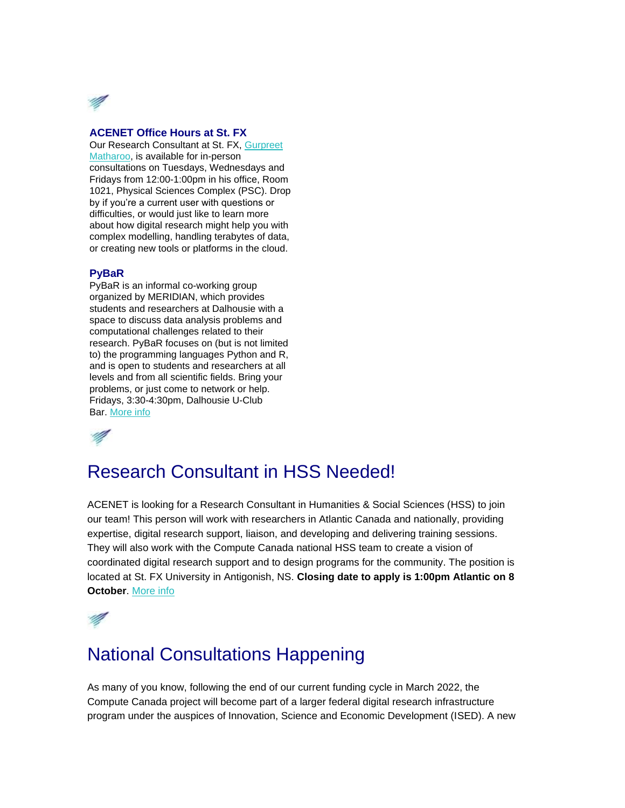

#### **ACENET Office Hours at St. FX**

Our Research Consultant at St. FX, [Gurpreet](mailto:gurpreet.matharoo@ace-net.ca)  [Matharoo,](mailto:gurpreet.matharoo@ace-net.ca) is available for in-person consultations on Tuesdays, Wednesdays and Fridays from 12:00-1:00pm in his office, Room 1021, Physical Sciences Complex (PSC). Drop by if you're a current user with questions or difficulties, or would just like to learn more about how digital research might help you with complex modelling, handling terabytes of data, or creating new tools or platforms in the cloud.

#### **PyBaR**

PyBaR is an informal co-working group organized by MERIDIAN, which provides students and researchers at Dalhousie with a space to discuss data analysis problems and computational challenges related to their research. PyBaR focuses on (but is not limited to) the programming languages Python and R, and is open to students and researchers at all levels and from all scientific fields. Bring your problems, or just come to network or help. Fridays, 3:30-4:30pm, Dalhousie U-Club Bar. [More info](https://meridian.cs.dal.ca/pybar/) 

## Research Consultant in HSS Needed!

ACENET is looking for a Research Consultant in Humanities & Social Sciences (HSS) to join our team! This person will work with researchers in Atlantic Canada and nationally, providing expertise, digital research support, liaison, and developing and delivering training sessions. They will also work with the Compute Canada national HSS team to create a vision of coordinated digital research support and to design programs for the community. The position is located at St. FX University in Antigonish, NS. **Closing date to apply is 1:00pm Atlantic on 8 October**. [More info](https://www2.mystfx.ca/hr/sites/mystfx.ca.hr/files/ACENET%20HSS%20job%20ad.pdf)



## National Consultations Happening

As many of you know, following the end of our current funding cycle in March 2022, the Compute Canada project will become part of a larger federal digital research infrastructure program under the auspices of Innovation, Science and Economic Development (ISED). A new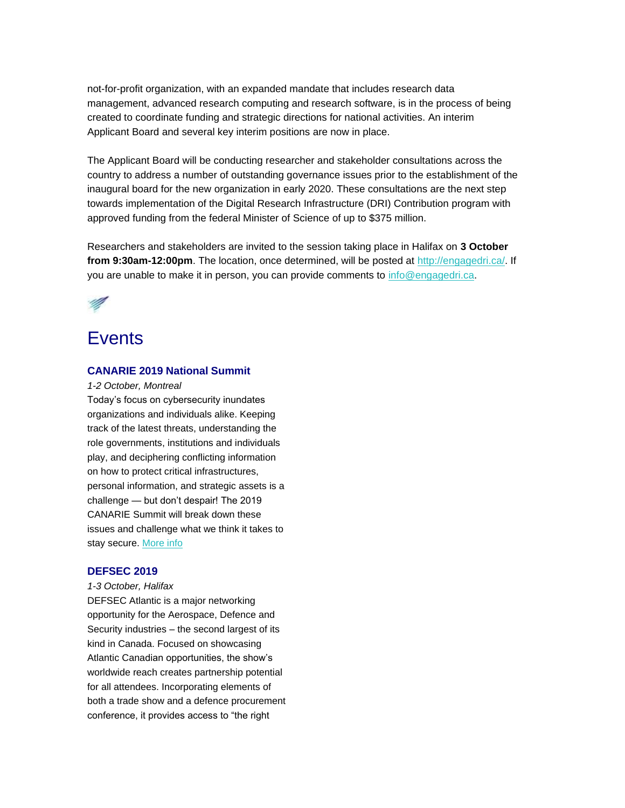not-for-profit organization, with an expanded mandate that includes research data management, advanced research computing and research software, is in the process of being created to coordinate funding and strategic directions for national activities. An interim Applicant Board and several key interim positions are now in place.

The Applicant Board will be conducting researcher and stakeholder consultations across the country to address a number of outstanding governance issues prior to the establishment of the inaugural board for the new organization in early 2020. These consultations are the next step towards implementation of the Digital Research Infrastructure (DRI) Contribution program with approved funding from the federal Minister of Science of up to \$375 million.

Researchers and stakeholders are invited to the session taking place in Halifax on **3 October from 9:30am-12:00pm**. The location, once determined, will be posted at [http://engagedri.ca/.](http://engagedri.ca/) If you are unable to make it in person, you can provide comments to [info@engagedri.ca.](mailto:info@engagedri.ca)



### **Events**

### **CANARIE 2019 National Summit**

*1-2 October, Montreal*

Today's focus on cybersecurity inundates organizations and individuals alike. Keeping track of the latest threats, understanding the role governments, institutions and individuals play, and deciphering conflicting information on how to protect critical infrastructures, personal information, and strategic assets is a challenge — but don't despair! The 2019 CANARIE Summit will break down these issues and challenge what we think it takes to stay secure. [More info](https://www.canarie.ca/canarie-summit/)

### **DEFSEC 2019**

*1-3 October, Halifax*

DEFSEC Atlantic is a major networking opportunity for the Aerospace, Defence and Security industries – the second largest of its kind in Canada. Focused on showcasing Atlantic Canadian opportunities, the show's worldwide reach creates partnership potential for all attendees. Incorporating elements of both a trade show and a defence procurement conference, it provides access to "the right